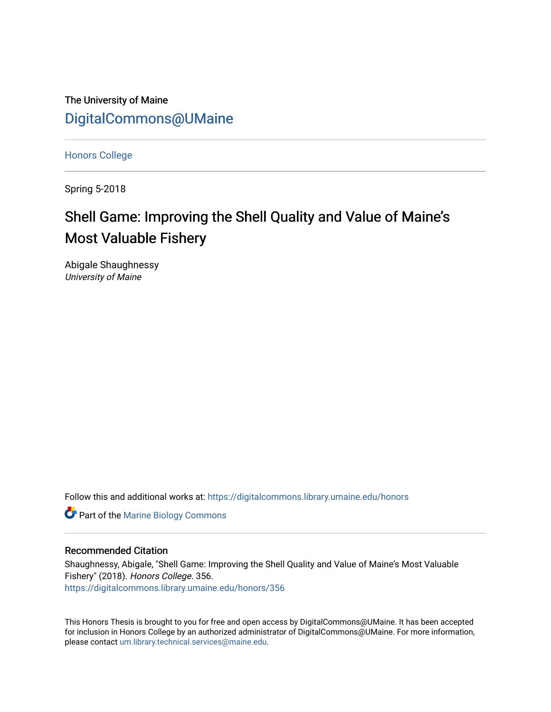The University of Maine [DigitalCommons@UMaine](https://digitalcommons.library.umaine.edu/)

[Honors College](https://digitalcommons.library.umaine.edu/honors)

Spring 5-2018

# Shell Game: Improving the Shell Quality and Value of Maine's Most Valuable Fishery

Abigale Shaughnessy University of Maine

Follow this and additional works at: [https://digitalcommons.library.umaine.edu/honors](https://digitalcommons.library.umaine.edu/honors?utm_source=digitalcommons.library.umaine.edu%2Fhonors%2F356&utm_medium=PDF&utm_campaign=PDFCoverPages) 

**Part of the Marine Biology Commons** 

#### Recommended Citation

Shaughnessy, Abigale, "Shell Game: Improving the Shell Quality and Value of Maine's Most Valuable Fishery" (2018). Honors College. 356. [https://digitalcommons.library.umaine.edu/honors/356](https://digitalcommons.library.umaine.edu/honors/356?utm_source=digitalcommons.library.umaine.edu%2Fhonors%2F356&utm_medium=PDF&utm_campaign=PDFCoverPages) 

This Honors Thesis is brought to you for free and open access by DigitalCommons@UMaine. It has been accepted for inclusion in Honors College by an authorized administrator of DigitalCommons@UMaine. For more information, please contact [um.library.technical.services@maine.edu.](mailto:um.library.technical.services@maine.edu)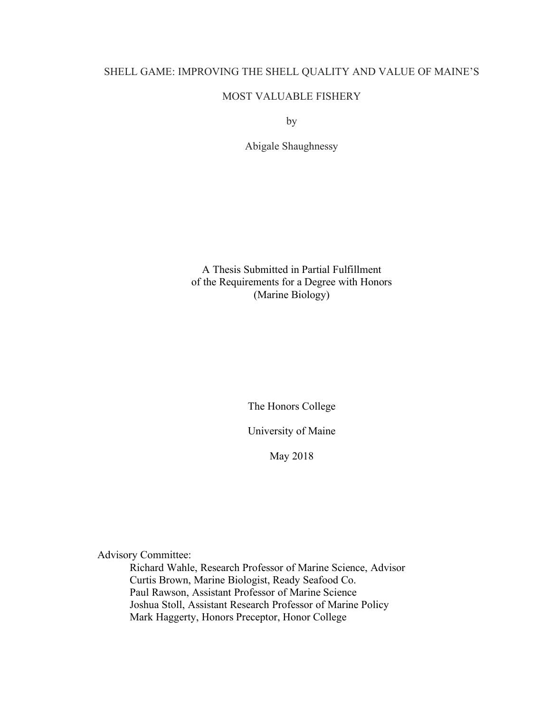# SHELL GAME: IMPROVING THE SHELL QUALITY AND VALUE OF MAINE'S

# MOST VALUABLE FISHERY

by

Abigale Shaughnessy

A Thesis Submitted in Partial Fulfillment of the Requirements for a Degree with Honors (Marine Biology)

The Honors College

University of Maine

May 2018

Advisory Committee:

Richard Wahle, Research Professor of Marine Science, Advisor Curtis Brown, Marine Biologist, Ready Seafood Co. Paul Rawson, Assistant Professor of Marine Science Joshua Stoll, Assistant Research Professor of Marine Policy Mark Haggerty, Honors Preceptor, Honor College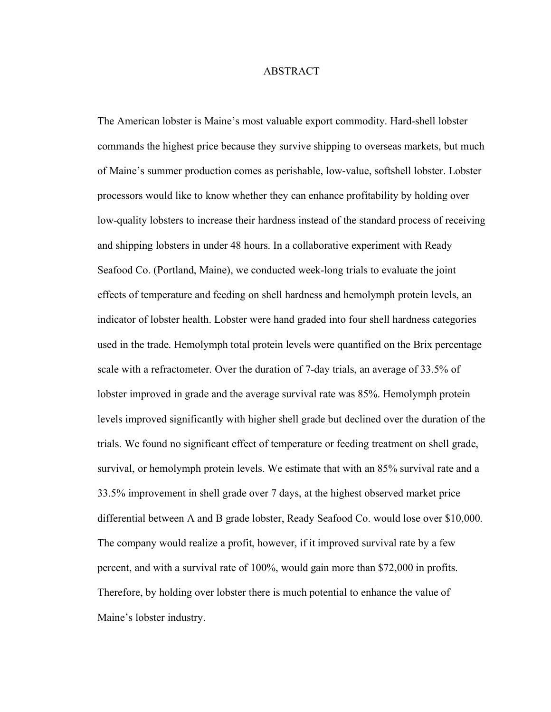#### ABSTRACT

The American lobster is Maine's most valuable export commodity. Hard-shell lobster commands the highest price because they survive shipping to overseas markets, but much of Maine's summer production comes as perishable, low-value, softshell lobster. Lobster processors would like to know whether they can enhance profitability by holding over low-quality lobsters to increase their hardness instead of the standard process of receiving and shipping lobsters in under 48 hours. In a collaborative experiment with Ready Seafood Co. (Portland, Maine), we conducted week-long trials to evaluate the joint effects of temperature and feeding on shell hardness and hemolymph protein levels, an indicator of lobster health. Lobster were hand graded into four shell hardness categories used in the trade. Hemolymph total protein levels were quantified on the Brix percentage scale with a refractometer. Over the duration of 7-day trials, an average of 33.5% of lobster improved in grade and the average survival rate was 85%. Hemolymph protein levels improved significantly with higher shell grade but declined over the duration of the trials. We found no significant effect of temperature or feeding treatment on shell grade, survival, or hemolymph protein levels. We estimate that with an 85% survival rate and a 33.5% improvement in shell grade over 7 days, at the highest observed market price differential between A and B grade lobster, Ready Seafood Co. would lose over \$10,000. The company would realize a profit, however, if it improved survival rate by a few percent, and with a survival rate of 100%, would gain more than \$72,000 in profits. Therefore, by holding over lobster there is much potential to enhance the value of Maine's lobster industry.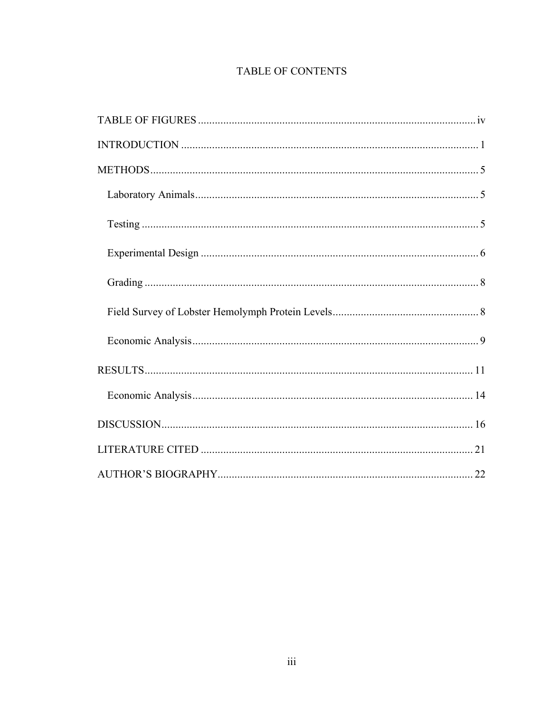# TABLE OF CONTENTS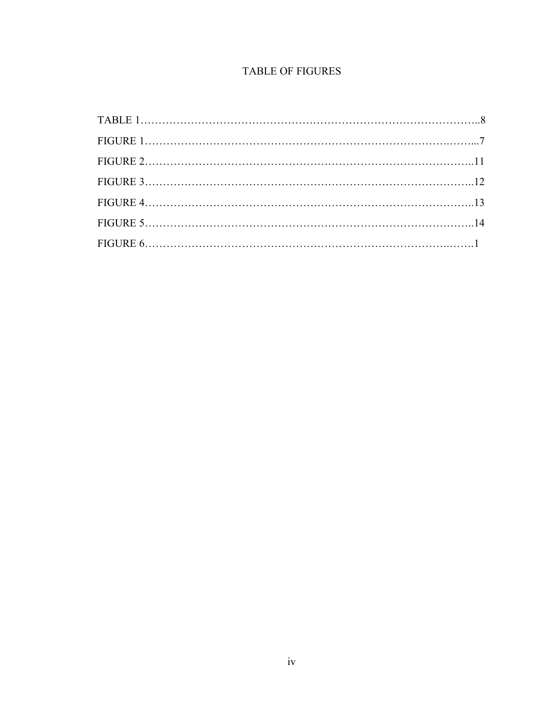# **TABLE OF FIGURES**

| $FIGURE 6. \dots 1$ |  |
|---------------------|--|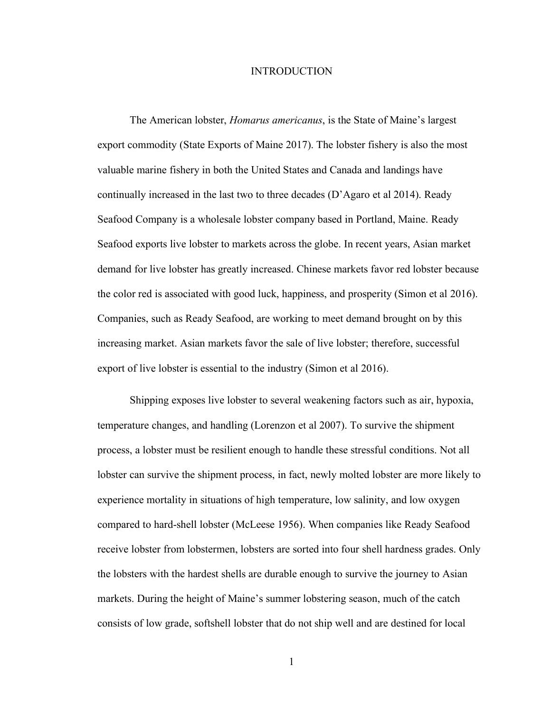#### INTRODUCTION

The American lobster, *Homarus americanus*, is the State of Maine's largest export commodity (State Exports of Maine 2017). The lobster fishery is also the most valuable marine fishery in both the United States and Canada and landings have continually increased in the last two to three decades (D'Agaro et al 2014). Ready Seafood Company is a wholesale lobster company based in Portland, Maine. Ready Seafood exports live lobster to markets across the globe. In recent years, Asian market demand for live lobster has greatly increased. Chinese markets favor red lobster because the color red is associated with good luck, happiness, and prosperity (Simon et al 2016). Companies, such as Ready Seafood, are working to meet demand brought on by this increasing market. Asian markets favor the sale of live lobster; therefore, successful export of live lobster is essential to the industry (Simon et al 2016).

Shipping exposes live lobster to several weakening factors such as air, hypoxia, temperature changes, and handling (Lorenzon et al 2007). To survive the shipment process, a lobster must be resilient enough to handle these stressful conditions. Not all lobster can survive the shipment process, in fact, newly molted lobster are more likely to experience mortality in situations of high temperature, low salinity, and low oxygen compared to hard-shell lobster (McLeese 1956). When companies like Ready Seafood receive lobster from lobstermen, lobsters are sorted into four shell hardness grades. Only the lobsters with the hardest shells are durable enough to survive the journey to Asian markets. During the height of Maine's summer lobstering season, much of the catch consists of low grade, softshell lobster that do not ship well and are destined for local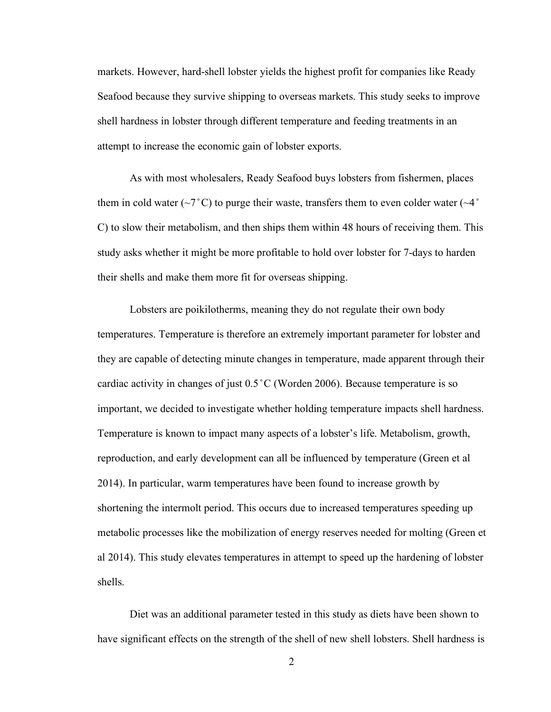markets. However, hard-shell lobster yields the highest profit for companies like Ready Seafood because they survive shipping to overseas markets. This study seeks to improve shell hardness in lobster through different temperature and feeding treatments in an attempt to increase the economic gain of lobster exports.

As with most wholesalers, Ready Seafood buys lobsters from fishermen, places them in cold water  $(\sim 7^{\circ} \text{C})$  to purge their waste, transfers them to even colder water  $(\sim 4^{\circ}$ C) to slow their metabolism, and then ships them within 48 hours of receiving them. This study asks whether it might be more profitable to hold over lobster for 7-days to harden their shells and make them more fit for overseas shipping.

Lobsters are poikilotherms, meaning they do not regulate their own body temperatures. Temperature is therefore an extremely important parameter for lobster and they are capable of detecting minute changes in temperature, made apparent through their cardiac activity in changes of just 0.5 ̊C (Worden 2006). Because temperature is so important, we decided to investigate whether holding temperature impacts shell hardness. Temperature is known to impact many aspects of a lobster's life. Metabolism, growth, reproduction, and early development can all be influenced by temperature (Green et al 2014). In particular, warm temperatures have been found to increase growth by shortening the intermolt period. This occurs due to increased temperatures speeding up metabolic processes like the mobilization of energy reserves needed for molting (Green et al 2014). This study elevates temperatures in attempt to speed up the hardening of lobster shells.

Diet was an additional parameter tested in this study as diets have been shown to have significant effects on the strength of the shell of new shell lobsters. Shell hardness is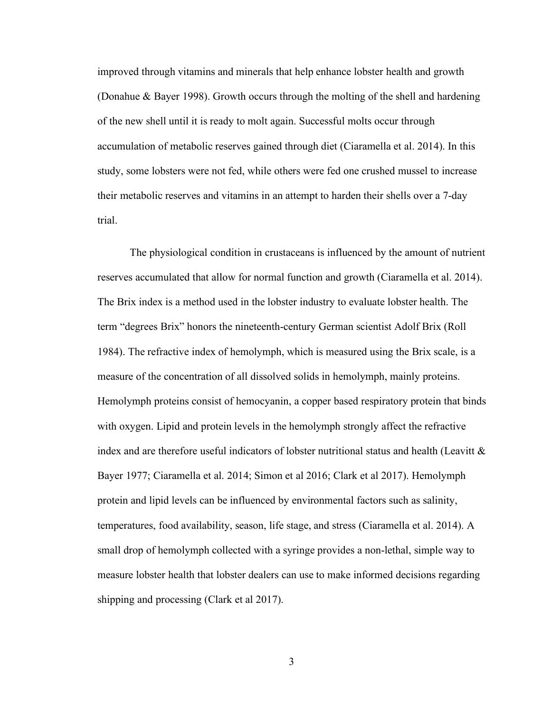improved through vitamins and minerals that help enhance lobster health and growth (Donahue & Bayer 1998). Growth occurs through the molting of the shell and hardening of the new shell until it is ready to molt again. Successful molts occur through accumulation of metabolic reserves gained through diet (Ciaramella et al. 2014). In this study, some lobsters were not fed, while others were fed one crushed mussel to increase their metabolic reserves and vitamins in an attempt to harden their shells over a 7-day trial.

The physiological condition in crustaceans is influenced by the amount of nutrient reserves accumulated that allow for normal function and growth (Ciaramella et al. 2014). The Brix index is a method used in the lobster industry to evaluate lobster health. The term "degrees Brix" honors the nineteenth-century German scientist Adolf Brix (Roll 1984). The refractive index of hemolymph, which is measured using the Brix scale, is a measure of the concentration of all dissolved solids in hemolymph, mainly proteins. Hemolymph proteins consist of hemocyanin, a copper based respiratory protein that binds with oxygen. Lipid and protein levels in the hemolymph strongly affect the refractive index and are therefore useful indicators of lobster nutritional status and health (Leavitt  $\&$ Bayer 1977; Ciaramella et al. 2014; Simon et al 2016; Clark et al 2017). Hemolymph protein and lipid levels can be influenced by environmental factors such as salinity, temperatures, food availability, season, life stage, and stress (Ciaramella et al. 2014). A small drop of hemolymph collected with a syringe provides a non-lethal, simple way to measure lobster health that lobster dealers can use to make informed decisions regarding shipping and processing (Clark et al 2017).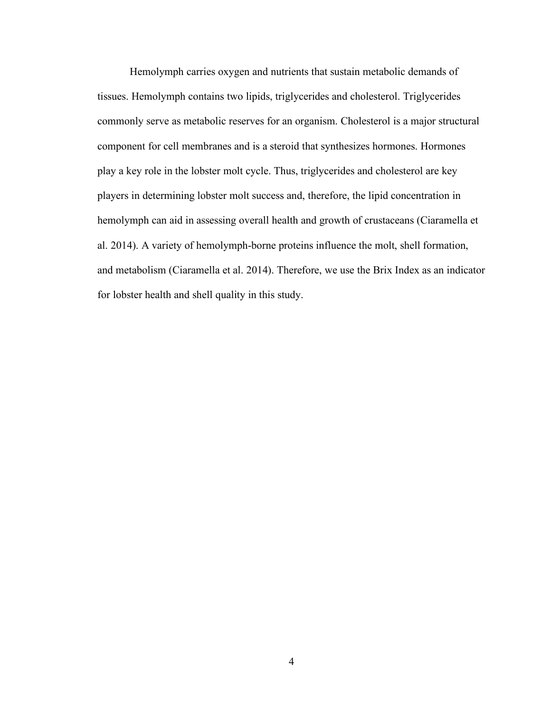Hemolymph carries oxygen and nutrients that sustain metabolic demands of tissues. Hemolymph contains two lipids, triglycerides and cholesterol. Triglycerides commonly serve as metabolic reserves for an organism. Cholesterol is a major structural component for cell membranes and is a steroid that synthesizes hormones. Hormones play a key role in the lobster molt cycle. Thus, triglycerides and cholesterol are key players in determining lobster molt success and, therefore, the lipid concentration in hemolymph can aid in assessing overall health and growth of crustaceans (Ciaramella et al. 2014). A variety of hemolymph-borne proteins influence the molt, shell formation, and metabolism (Ciaramella et al. 2014). Therefore, we use the Brix Index as an indicator for lobster health and shell quality in this study.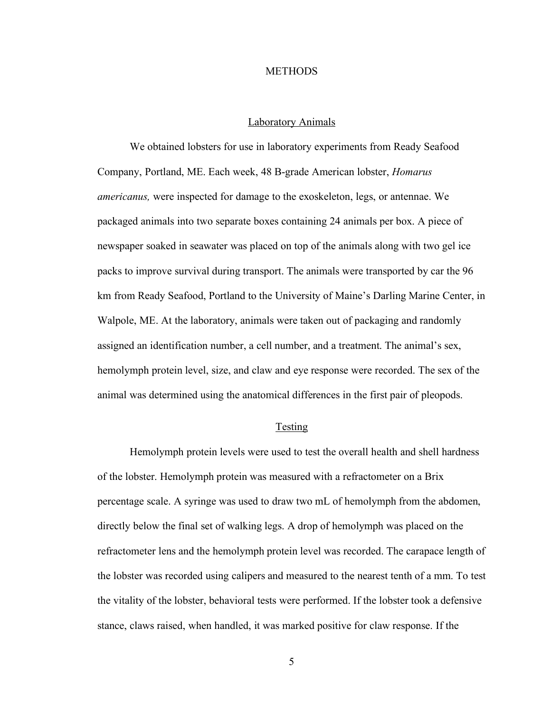#### **METHODS**

#### Laboratory Animals

We obtained lobsters for use in laboratory experiments from Ready Seafood Company, Portland, ME. Each week, 48 B-grade American lobster, *Homarus americanus,* were inspected for damage to the exoskeleton, legs, or antennae. We packaged animals into two separate boxes containing 24 animals per box. A piece of newspaper soaked in seawater was placed on top of the animals along with two gel ice packs to improve survival during transport. The animals were transported by car the 96 km from Ready Seafood, Portland to the University of Maine's Darling Marine Center, in Walpole, ME. At the laboratory, animals were taken out of packaging and randomly assigned an identification number, a cell number, and a treatment. The animal's sex, hemolymph protein level, size, and claw and eye response were recorded. The sex of the animal was determined using the anatomical differences in the first pair of pleopods.

#### Testing

Hemolymph protein levels were used to test the overall health and shell hardness of the lobster. Hemolymph protein was measured with a refractometer on a Brix percentage scale. A syringe was used to draw two mL of hemolymph from the abdomen, directly below the final set of walking legs. A drop of hemolymph was placed on the refractometer lens and the hemolymph protein level was recorded. The carapace length of the lobster was recorded using calipers and measured to the nearest tenth of a mm. To test the vitality of the lobster, behavioral tests were performed. If the lobster took a defensive stance, claws raised, when handled, it was marked positive for claw response. If the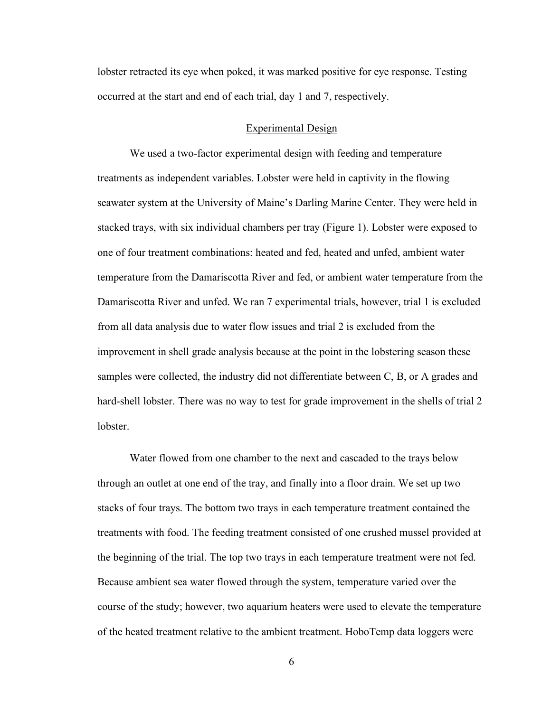lobster retracted its eye when poked, it was marked positive for eye response. Testing occurred at the start and end of each trial, day 1 and 7, respectively.

#### Experimental Design

We used a two-factor experimental design with feeding and temperature treatments as independent variables. Lobster were held in captivity in the flowing seawater system at the University of Maine's Darling Marine Center. They were held in stacked trays, with six individual chambers per tray (Figure 1). Lobster were exposed to one of four treatment combinations: heated and fed, heated and unfed, ambient water temperature from the Damariscotta River and fed, or ambient water temperature from the Damariscotta River and unfed. We ran 7 experimental trials, however, trial 1 is excluded from all data analysis due to water flow issues and trial 2 is excluded from the improvement in shell grade analysis because at the point in the lobstering season these samples were collected, the industry did not differentiate between C, B, or A grades and hard-shell lobster. There was no way to test for grade improvement in the shells of trial 2 lobster.

Water flowed from one chamber to the next and cascaded to the trays below through an outlet at one end of the tray, and finally into a floor drain. We set up two stacks of four trays. The bottom two trays in each temperature treatment contained the treatments with food. The feeding treatment consisted of one crushed mussel provided at the beginning of the trial. The top two trays in each temperature treatment were not fed. Because ambient sea water flowed through the system, temperature varied over the course of the study; however, two aquarium heaters were used to elevate the temperature of the heated treatment relative to the ambient treatment. HoboTemp data loggers were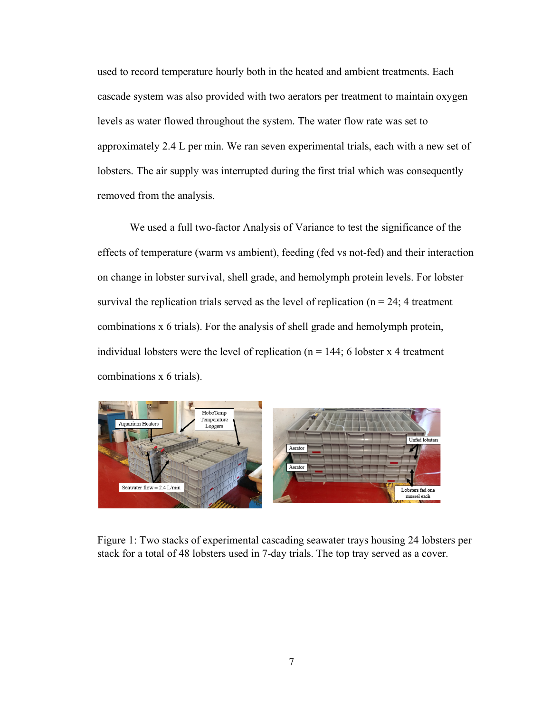used to record temperature hourly both in the heated and ambient treatments. Each cascade system was also provided with two aerators per treatment to maintain oxygen levels as water flowed throughout the system. The water flow rate was set to approximately 2.4 L per min. We ran seven experimental trials, each with a new set of lobsters. The air supply was interrupted during the first trial which was consequently removed from the analysis.

We used a full two-factor Analysis of Variance to test the significance of the effects of temperature (warm vs ambient), feeding (fed vs not-fed) and their interaction on change in lobster survival, shell grade, and hemolymph protein levels. For lobster survival the replication trials served as the level of replication ( $n = 24$ ; 4 treatment combinations x 6 trials). For the analysis of shell grade and hemolymph protein, individual lobsters were the level of replication ( $n = 144$ ; 6 lobster x 4 treatment combinations x 6 trials).



Figure 1: Two stacks of experimental cascading seawater trays housing 24 lobsters per stack for a total of 48 lobsters used in 7-day trials. The top tray served as a cover.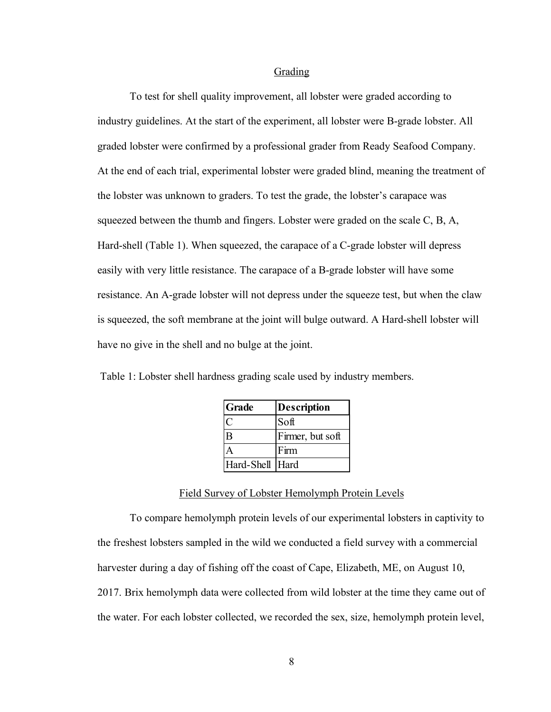#### Grading

To test for shell quality improvement, all lobster were graded according to industry guidelines. At the start of the experiment, all lobster were B-grade lobster. All graded lobster were confirmed by a professional grader from Ready Seafood Company. At the end of each trial, experimental lobster were graded blind, meaning the treatment of the lobster was unknown to graders. To test the grade, the lobster's carapace was squeezed between the thumb and fingers. Lobster were graded on the scale C, B, A, Hard-shell (Table 1). When squeezed, the carapace of a C-grade lobster will depress easily with very little resistance. The carapace of a B-grade lobster will have some resistance. An A-grade lobster will not depress under the squeeze test, but when the claw is squeezed, the soft membrane at the joint will bulge outward. A Hard-shell lobster will have no give in the shell and no bulge at the joint.

| Table 1: Lobster shell hardness grading scale used by industry members. |  |  |
|-------------------------------------------------------------------------|--|--|
|                                                                         |  |  |

| Grade           | <b>Description</b> |
|-----------------|--------------------|
|                 | Soft               |
| B               | Firmer, but soft   |
|                 | Firm               |
| Hard-Shell Hard |                    |

## Field Survey of Lobster Hemolymph Protein Levels

To compare hemolymph protein levels of our experimental lobsters in captivity to the freshest lobsters sampled in the wild we conducted a field survey with a commercial harvester during a day of fishing off the coast of Cape, Elizabeth, ME, on August 10, 2017. Brix hemolymph data were collected from wild lobster at the time they came out of the water. For each lobster collected, we recorded the sex, size, hemolymph protein level,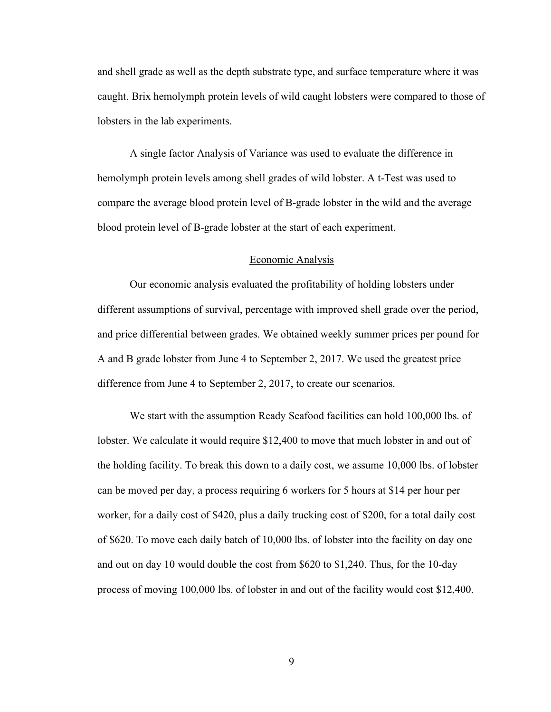and shell grade as well as the depth substrate type, and surface temperature where it was caught. Brix hemolymph protein levels of wild caught lobsters were compared to those of lobsters in the lab experiments.

A single factor Analysis of Variance was used to evaluate the difference in hemolymph protein levels among shell grades of wild lobster. A t-Test was used to compare the average blood protein level of B-grade lobster in the wild and the average blood protein level of B-grade lobster at the start of each experiment.

#### Economic Analysis

Our economic analysis evaluated the profitability of holding lobsters under different assumptions of survival, percentage with improved shell grade over the period, and price differential between grades. We obtained weekly summer prices per pound for A and B grade lobster from June 4 to September 2, 2017. We used the greatest price difference from June 4 to September 2, 2017, to create our scenarios.

We start with the assumption Ready Seafood facilities can hold 100,000 lbs. of lobster. We calculate it would require \$12,400 to move that much lobster in and out of the holding facility. To break this down to a daily cost, we assume 10,000 lbs. of lobster can be moved per day, a process requiring 6 workers for 5 hours at \$14 per hour per worker, for a daily cost of \$420, plus a daily trucking cost of \$200, for a total daily cost of \$620. To move each daily batch of 10,000 lbs. of lobster into the facility on day one and out on day 10 would double the cost from \$620 to \$1,240. Thus, for the 10-day process of moving 100,000 lbs. of lobster in and out of the facility would cost \$12,400.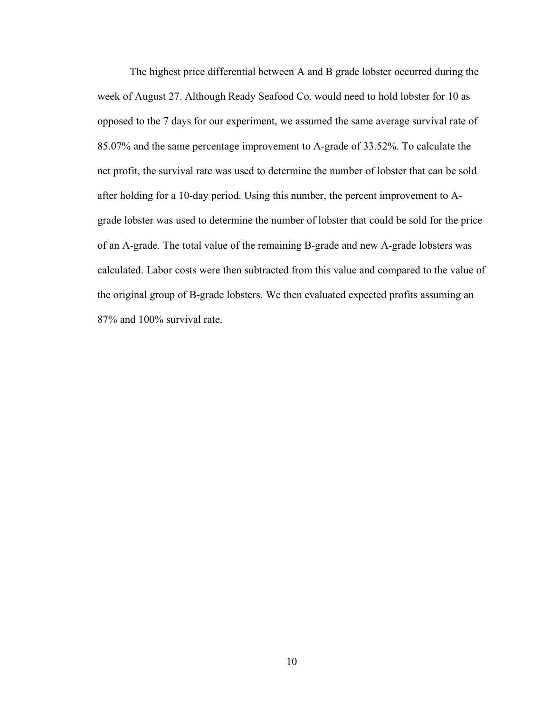The highest price differential between A and B grade lobster occurred during the week of August 27. Although Ready Seafood Co. would need to hold lobster for 10 as opposed to the 7 days for our experiment, we assumed the same average survival rate of 85.07% and the same percentage improvement to A-grade of 33.52%. To calculate the net profit, the survival rate was used to determine the number of lobster that can be sold after holding for a 10-day period. Using this number, the percent improvement to Agrade lobster was used to determine the number of lobster that could be sold for the price of an A-grade. The total value of the remaining B-grade and new A-grade lobsters was calculated. Labor costs were then subtracted from this value and compared to the value of the original group of B-grade lobsters. We then evaluated expected profits assuming an 87% and 100% survival rate.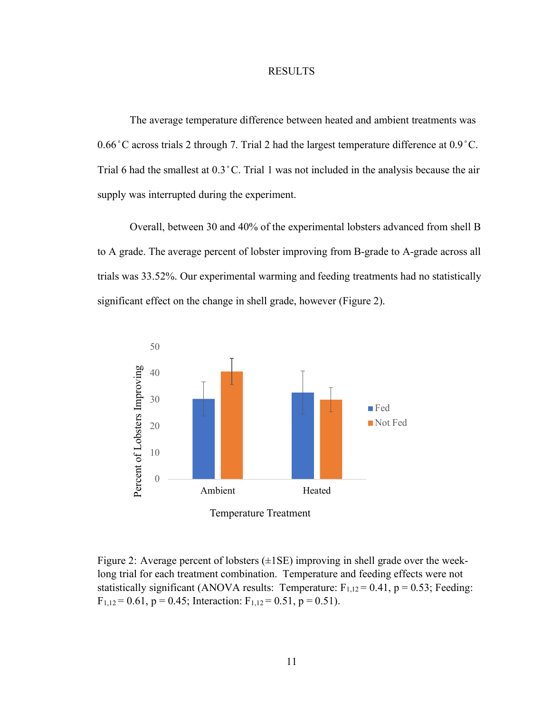#### RESULTS

The average temperature difference between heated and ambient treatments was 0.66 ̊C across trials 2 through 7. Trial 2 had the largest temperature difference at 0.9 ̊C. Trial 6 had the smallest at 0.3 ̊C. Trial 1 was not included in the analysis because the air supply was interrupted during the experiment.

Overall, between 30 and 40% of the experimental lobsters advanced from shell B to A grade. The average percent of lobster improving from B-grade to A-grade across all trials was 33.52%. Our experimental warming and feeding treatments had no statistically significant effect on the change in shell grade, however (Figure 2).



Figure 2: Average percent of lobsters  $(\pm 1SE)$  improving in shell grade over the weeklong trial for each treatment combination. Temperature and feeding effects were not statistically significant (ANOVA results: Temperature:  $F_{1,12} = 0.41$ , p = 0.53; Feeding:  $F_{1,12} = 0.61$ ,  $p = 0.45$ ; Interaction:  $F_{1,12} = 0.51$ ,  $p = 0.51$ ).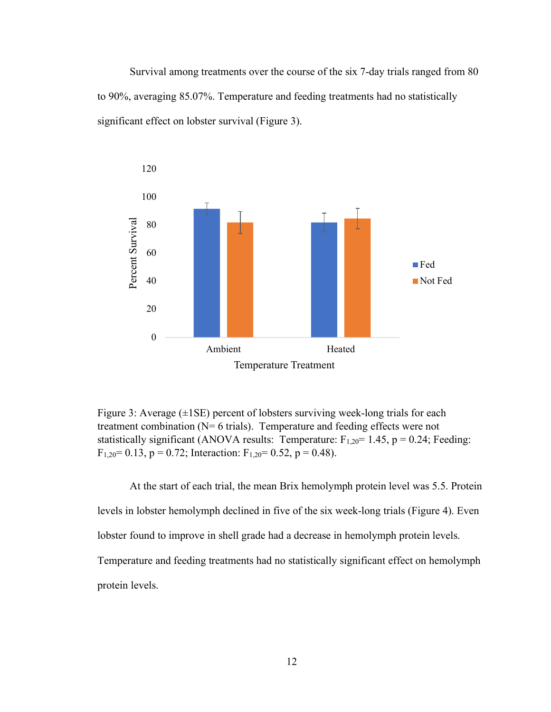Survival among treatments over the course of the six 7-day trials ranged from 80 to 90%, averaging 85.07%. Temperature and feeding treatments had no statistically significant effect on lobster survival (Figure 3).



Figure 3: Average  $(\pm 1SE)$  percent of lobsters surviving week-long trials for each treatment combination (N= 6 trials). Temperature and feeding effects were not statistically significant (ANOVA results: Temperature:  $F_{1,20}$ = 1.45, p = 0.24; Feeding:  $F_{1,20}$  = 0.13, p = 0.72; Interaction:  $F_{1,20}$  = 0.52, p = 0.48).

At the start of each trial, the mean Brix hemolymph protein level was 5.5. Protein levels in lobster hemolymph declined in five of the six week-long trials (Figure 4). Even lobster found to improve in shell grade had a decrease in hemolymph protein levels. Temperature and feeding treatments had no statistically significant effect on hemolymph protein levels.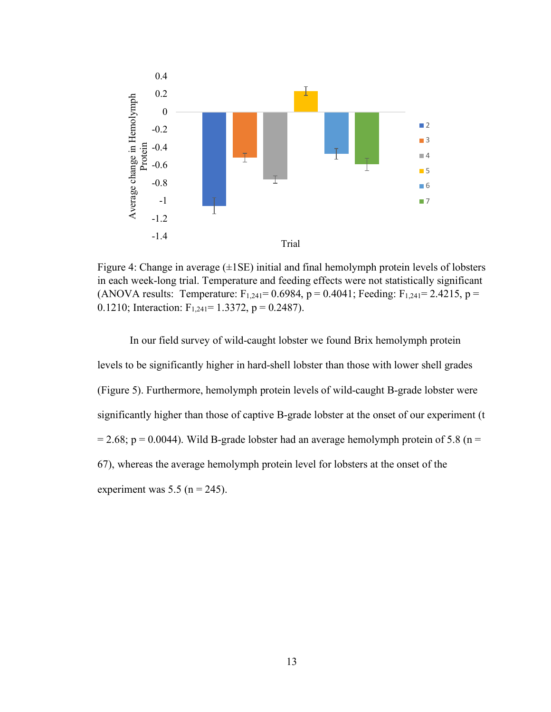

Figure 4: Change in average  $(\pm 1SE)$  initial and final hemolymph protein levels of lobsters in each week-long trial. Temperature and feeding effects were not statistically significant (ANOVA results: Temperature:  $F_{1,241} = 0.6984$ , p = 0.4041; Feeding:  $F_{1,241} = 2.4215$ , p = 0.1210; Interaction:  $F_{1,241} = 1.3372$ , p = 0.2487).

In our field survey of wild-caught lobster we found Brix hemolymph protein levels to be significantly higher in hard-shell lobster than those with lower shell grades (Figure 5). Furthermore, hemolymph protein levels of wild-caught B-grade lobster were significantly higher than those of captive B-grade lobster at the onset of our experiment (t  $= 2.68$ ; p  $= 0.0044$ ). Wild B-grade lobster had an average hemolymph protein of 5.8 (n  $=$ 67), whereas the average hemolymph protein level for lobsters at the onset of the experiment was  $5.5$  (n = 245).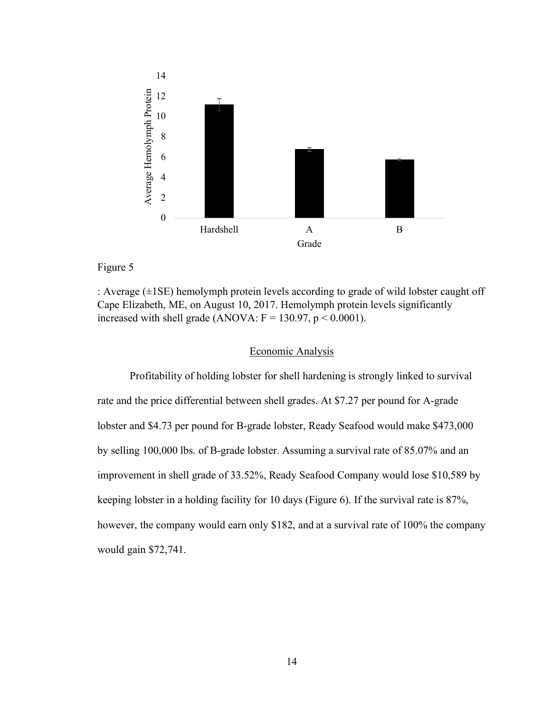

# Figure 5

: Average  $(\pm 1SE)$  hemolymph protein levels according to grade of wild lobster caught off Cape Elizabeth, ME, on August 10, 2017. Hemolymph protein levels significantly increased with shell grade (ANOVA:  $F = 130.97$ ,  $p < 0.0001$ ).

# Economic Analysis

Profitability of holding lobster for shell hardening is strongly linked to survival rate and the price differential between shell grades. At \$7.27 per pound for A-grade lobster and \$4.73 per pound for B-grade lobster, Ready Seafood would make \$473,000 by selling 100,000 lbs. of B-grade lobster. Assuming a survival rate of 85.07% and an improvement in shell grade of 33.52%, Ready Seafood Company would lose \$10,589 by keeping lobster in a holding facility for 10 days (Figure 6). If the survival rate is 87%, however, the company would earn only \$182, and at a survival rate of 100% the company would gain \$72,741.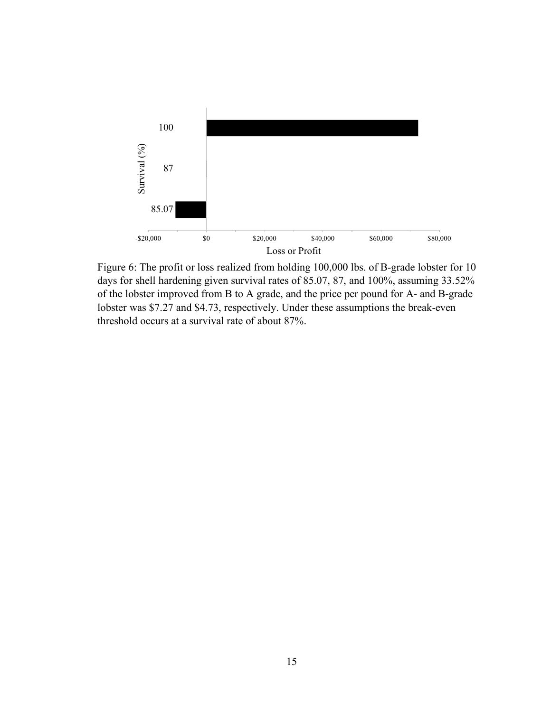

Figure 6: The profit or loss realized from holding 100,000 lbs. of B-grade lobster for 10 days for shell hardening given survival rates of 85.07, 87, and 100%, assuming 33.52% of the lobster improved from B to A grade, and the price per pound for A- and B-grade lobster was \$7.27 and \$4.73, respectively. Under these assumptions the break-even threshold occurs at a survival rate of about 87%.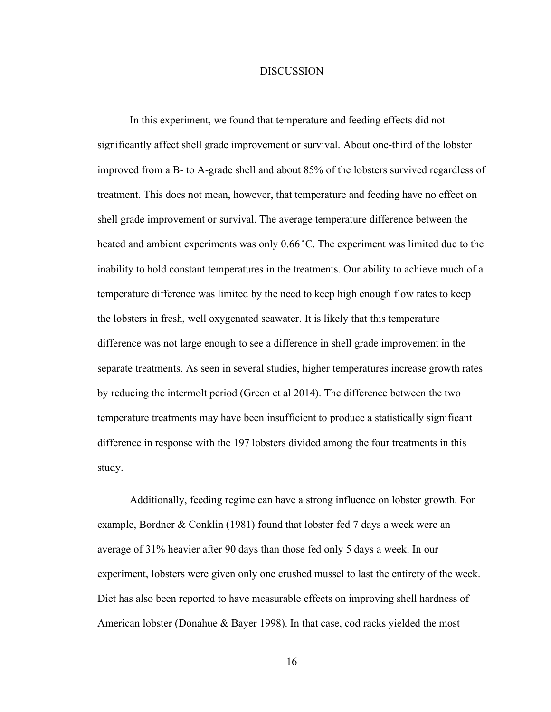#### DISCUSSION

In this experiment, we found that temperature and feeding effects did not significantly affect shell grade improvement or survival. About one-third of the lobster improved from a B- to A-grade shell and about 85% of the lobsters survived regardless of treatment. This does not mean, however, that temperature and feeding have no effect on shell grade improvement or survival. The average temperature difference between the heated and ambient experiments was only  $0.66^{\circ}$ C. The experiment was limited due to the inability to hold constant temperatures in the treatments. Our ability to achieve much of a temperature difference was limited by the need to keep high enough flow rates to keep the lobsters in fresh, well oxygenated seawater. It is likely that this temperature difference was not large enough to see a difference in shell grade improvement in the separate treatments. As seen in several studies, higher temperatures increase growth rates by reducing the intermolt period (Green et al 2014). The difference between the two temperature treatments may have been insufficient to produce a statistically significant difference in response with the 197 lobsters divided among the four treatments in this study.

Additionally, feeding regime can have a strong influence on lobster growth. For example, Bordner & Conklin (1981) found that lobster fed 7 days a week were an average of 31% heavier after 90 days than those fed only 5 days a week. In our experiment, lobsters were given only one crushed mussel to last the entirety of the week. Diet has also been reported to have measurable effects on improving shell hardness of American lobster (Donahue & Bayer 1998). In that case, cod racks yielded the most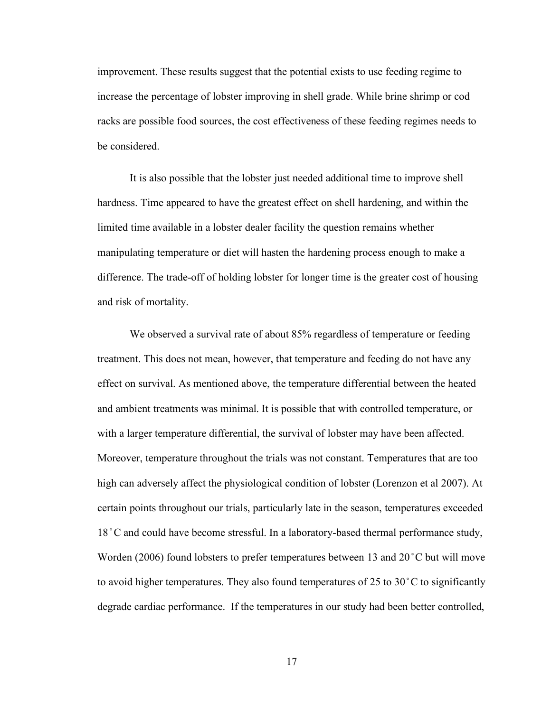improvement. These results suggest that the potential exists to use feeding regime to increase the percentage of lobster improving in shell grade. While brine shrimp or cod racks are possible food sources, the cost effectiveness of these feeding regimes needs to be considered.

It is also possible that the lobster just needed additional time to improve shell hardness. Time appeared to have the greatest effect on shell hardening, and within the limited time available in a lobster dealer facility the question remains whether manipulating temperature or diet will hasten the hardening process enough to make a difference. The trade-off of holding lobster for longer time is the greater cost of housing and risk of mortality.

We observed a survival rate of about 85% regardless of temperature or feeding treatment. This does not mean, however, that temperature and feeding do not have any effect on survival. As mentioned above, the temperature differential between the heated and ambient treatments was minimal. It is possible that with controlled temperature, or with a larger temperature differential, the survival of lobster may have been affected. Moreover, temperature throughout the trials was not constant. Temperatures that are too high can adversely affect the physiological condition of lobster (Lorenzon et al 2007). At certain points throughout our trials, particularly late in the season, temperatures exceeded 18 °C and could have become stressful. In a laboratory-based thermal performance study, Worden (2006) found lobsters to prefer temperatures between 13 and 20 °C but will move to avoid higher temperatures. They also found temperatures of 25 to 30 $\degree$ C to significantly degrade cardiac performance. If the temperatures in our study had been better controlled,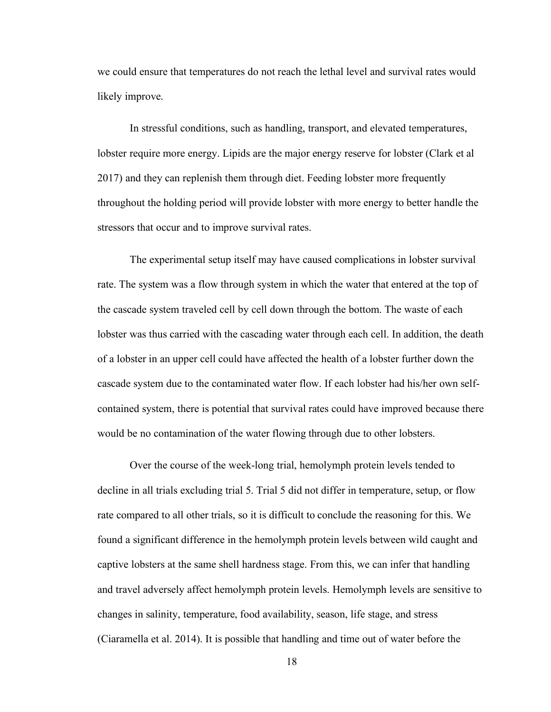we could ensure that temperatures do not reach the lethal level and survival rates would likely improve.

In stressful conditions, such as handling, transport, and elevated temperatures, lobster require more energy. Lipids are the major energy reserve for lobster (Clark et al 2017) and they can replenish them through diet. Feeding lobster more frequently throughout the holding period will provide lobster with more energy to better handle the stressors that occur and to improve survival rates.

The experimental setup itself may have caused complications in lobster survival rate. The system was a flow through system in which the water that entered at the top of the cascade system traveled cell by cell down through the bottom. The waste of each lobster was thus carried with the cascading water through each cell. In addition, the death of a lobster in an upper cell could have affected the health of a lobster further down the cascade system due to the contaminated water flow. If each lobster had his/her own selfcontained system, there is potential that survival rates could have improved because there would be no contamination of the water flowing through due to other lobsters.

Over the course of the week-long trial, hemolymph protein levels tended to decline in all trials excluding trial 5. Trial 5 did not differ in temperature, setup, or flow rate compared to all other trials, so it is difficult to conclude the reasoning for this. We found a significant difference in the hemolymph protein levels between wild caught and captive lobsters at the same shell hardness stage. From this, we can infer that handling and travel adversely affect hemolymph protein levels. Hemolymph levels are sensitive to changes in salinity, temperature, food availability, season, life stage, and stress (Ciaramella et al. 2014). It is possible that handling and time out of water before the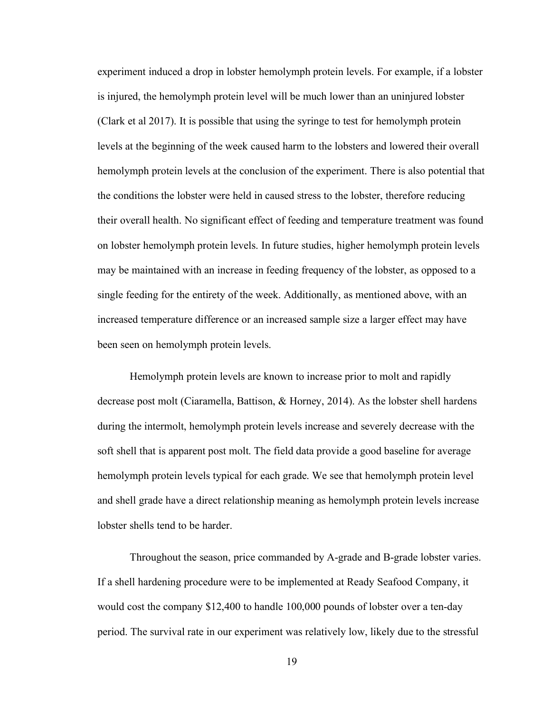experiment induced a drop in lobster hemolymph protein levels. For example, if a lobster is injured, the hemolymph protein level will be much lower than an uninjured lobster (Clark et al 2017). It is possible that using the syringe to test for hemolymph protein levels at the beginning of the week caused harm to the lobsters and lowered their overall hemolymph protein levels at the conclusion of the experiment. There is also potential that the conditions the lobster were held in caused stress to the lobster, therefore reducing their overall health. No significant effect of feeding and temperature treatment was found on lobster hemolymph protein levels. In future studies, higher hemolymph protein levels may be maintained with an increase in feeding frequency of the lobster, as opposed to a single feeding for the entirety of the week. Additionally, as mentioned above, with an increased temperature difference or an increased sample size a larger effect may have been seen on hemolymph protein levels.

Hemolymph protein levels are known to increase prior to molt and rapidly decrease post molt (Ciaramella, Battison, & Horney, 2014). As the lobster shell hardens during the intermolt, hemolymph protein levels increase and severely decrease with the soft shell that is apparent post molt. The field data provide a good baseline for average hemolymph protein levels typical for each grade. We see that hemolymph protein level and shell grade have a direct relationship meaning as hemolymph protein levels increase lobster shells tend to be harder.

Throughout the season, price commanded by A-grade and B-grade lobster varies. If a shell hardening procedure were to be implemented at Ready Seafood Company, it would cost the company \$12,400 to handle 100,000 pounds of lobster over a ten-day period. The survival rate in our experiment was relatively low, likely due to the stressful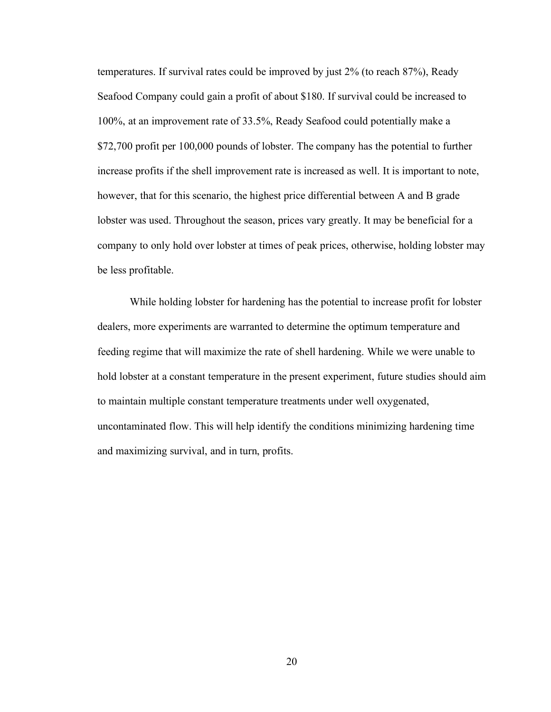temperatures. If survival rates could be improved by just 2% (to reach 87%), Ready Seafood Company could gain a profit of about \$180. If survival could be increased to 100%, at an improvement rate of 33.5%, Ready Seafood could potentially make a \$72,700 profit per 100,000 pounds of lobster. The company has the potential to further increase profits if the shell improvement rate is increased as well. It is important to note, however, that for this scenario, the highest price differential between A and B grade lobster was used. Throughout the season, prices vary greatly. It may be beneficial for a company to only hold over lobster at times of peak prices, otherwise, holding lobster may be less profitable.

While holding lobster for hardening has the potential to increase profit for lobster dealers, more experiments are warranted to determine the optimum temperature and feeding regime that will maximize the rate of shell hardening. While we were unable to hold lobster at a constant temperature in the present experiment, future studies should aim to maintain multiple constant temperature treatments under well oxygenated, uncontaminated flow. This will help identify the conditions minimizing hardening time and maximizing survival, and in turn, profits.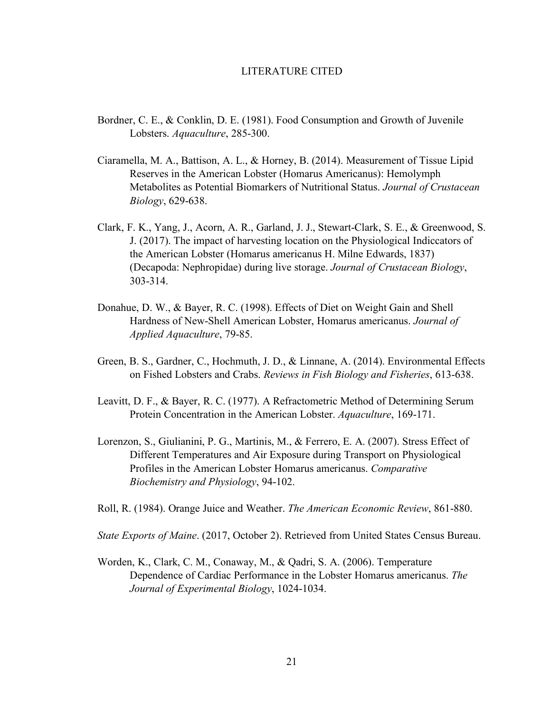#### LITERATURE CITED

- Bordner, C. E., & Conklin, D. E. (1981). Food Consumption and Growth of Juvenile Lobsters. *Aquaculture*, 285-300.
- Ciaramella, M. A., Battison, A. L., & Horney, B. (2014). Measurement of Tissue Lipid Reserves in the American Lobster (Homarus Americanus): Hemolymph Metabolites as Potential Biomarkers of Nutritional Status. *Journal of Crustacean Biology*, 629-638.
- Clark, F. K., Yang, J., Acorn, A. R., Garland, J. J., Stewart-Clark, S. E., & Greenwood, S. J. (2017). The impact of harvesting location on the Physiological Indiccators of the American Lobster (Homarus americanus H. Milne Edwards, 1837) (Decapoda: Nephropidae) during live storage. *Journal of Crustacean Biology*, 303-314.
- Donahue, D. W., & Bayer, R. C. (1998). Effects of Diet on Weight Gain and Shell Hardness of New-Shell American Lobster, Homarus americanus. *Journal of Applied Aquaculture*, 79-85.
- Green, B. S., Gardner, C., Hochmuth, J. D., & Linnane, A. (2014). Environmental Effects on Fished Lobsters and Crabs. *Reviews in Fish Biology and Fisheries*, 613-638.
- Leavitt, D. F., & Bayer, R. C. (1977). A Refractometric Method of Determining Serum Protein Concentration in the American Lobster. *Aquaculture*, 169-171.
- Lorenzon, S., Giulianini, P. G., Martinis, M., & Ferrero, E. A. (2007). Stress Effect of Different Temperatures and Air Exposure during Transport on Physiological Profiles in the American Lobster Homarus americanus. *Comparative Biochemistry and Physiology*, 94-102.
- Roll, R. (1984). Orange Juice and Weather. *The American Economic Review*, 861-880.
- *State Exports of Maine*. (2017, October 2). Retrieved from United States Census Bureau.
- Worden, K., Clark, C. M., Conaway, M., & Qadri, S. A. (2006). Temperature Dependence of Cardiac Performance in the Lobster Homarus americanus. *The Journal of Experimental Biology*, 1024-1034.